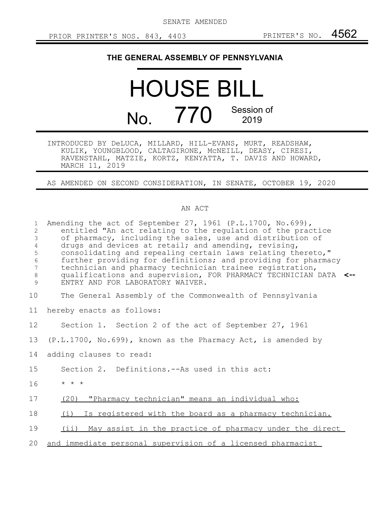SENATE AMENDED

## **THE GENERAL ASSEMBLY OF PENNSYLVANIA**

## HOUSE BILL No. 770 Session of 2019

INTRODUCED BY DeLUCA, MILLARD, HILL-EVANS, MURT, READSHAW, KULIK, YOUNGBLOOD, CALTAGIRONE, McNEILL, DEASY, CIRESI, RAVENSTAHL, MATZIE, KORTZ, KENYATTA, T. DAVIS AND HOWARD, MARCH 11, 2019

AS AMENDED ON SECOND CONSIDERATION, IN SENATE, OCTOBER 19, 2020

## AN ACT

| $\mathbf{1}$<br>2<br>$\mathcal{S}$<br>$\overline{4}$<br>5<br>$\epsilon$<br>7<br>$\,8\,$<br>9 | Amending the act of September 27, 1961 (P.L.1700, No.699),<br>entitled "An act relating to the regulation of the practice<br>of pharmacy, including the sales, use and distribution of<br>drugs and devices at retail; and amending, revising,<br>consolidating and repealing certain laws relating thereto,"<br>further providing for definitions; and providing for pharmacy<br>technician and pharmacy technician trainee registration,<br>qualifications and supervision, FOR PHARMACY TECHNICIAN DATA <--<br>ENTRY AND FOR LABORATORY WAIVER. |
|----------------------------------------------------------------------------------------------|----------------------------------------------------------------------------------------------------------------------------------------------------------------------------------------------------------------------------------------------------------------------------------------------------------------------------------------------------------------------------------------------------------------------------------------------------------------------------------------------------------------------------------------------------|
| 10                                                                                           | The General Assembly of the Commonwealth of Pennsylvania                                                                                                                                                                                                                                                                                                                                                                                                                                                                                           |
| 11                                                                                           | hereby enacts as follows:                                                                                                                                                                                                                                                                                                                                                                                                                                                                                                                          |
| 12                                                                                           | Section 1. Section 2 of the act of September 27, 1961                                                                                                                                                                                                                                                                                                                                                                                                                                                                                              |
| 13                                                                                           | $(P.L.1700, No.699)$ , known as the Pharmacy Act, is amended by                                                                                                                                                                                                                                                                                                                                                                                                                                                                                    |
| 14                                                                                           | adding clauses to read:                                                                                                                                                                                                                                                                                                                                                                                                                                                                                                                            |
| 15                                                                                           | Section 2. Definitions.--As used in this act:                                                                                                                                                                                                                                                                                                                                                                                                                                                                                                      |
| 16                                                                                           | $\star$ $\star$ $\star$                                                                                                                                                                                                                                                                                                                                                                                                                                                                                                                            |
| 17                                                                                           | (20) "Pharmacy technician" means an individual who:                                                                                                                                                                                                                                                                                                                                                                                                                                                                                                |
| 18                                                                                           | Is registered with the board as a pharmacy technician.<br>(i)                                                                                                                                                                                                                                                                                                                                                                                                                                                                                      |
| 19                                                                                           | (ii) May assist in the practice of pharmacy under the direct                                                                                                                                                                                                                                                                                                                                                                                                                                                                                       |
| 20                                                                                           | and immediate personal supervision of a licensed pharmacist                                                                                                                                                                                                                                                                                                                                                                                                                                                                                        |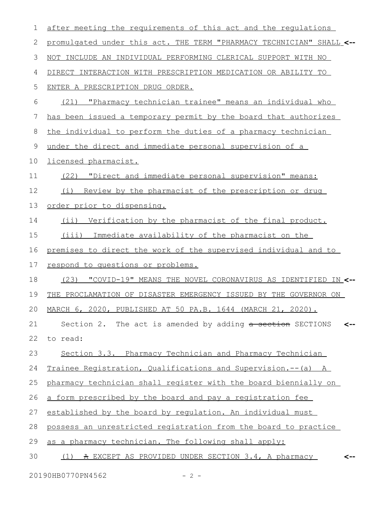| $\mathbf 1$ | after meeting the requirements of this act and the requlations       |  |  |  |  |  |  |  |  |  |
|-------------|----------------------------------------------------------------------|--|--|--|--|--|--|--|--|--|
| 2           | promulgated under this act. THE TERM "PHARMACY TECHNICIAN" SHALL <-- |  |  |  |  |  |  |  |  |  |
| 3           | NOT INCLUDE AN INDIVIDUAL PERFORMING CLERICAL SUPPORT WITH NO        |  |  |  |  |  |  |  |  |  |
| 4           | DIRECT INTERACTION WITH PRESCRIPTION MEDICATION OR ABILITY TO        |  |  |  |  |  |  |  |  |  |
| 5           | ENTER A PRESCRIPTION DRUG ORDER.                                     |  |  |  |  |  |  |  |  |  |
| 6           | "Pharmacy technician trainee" means an individual who<br>(21)        |  |  |  |  |  |  |  |  |  |
| 7           | has been issued a temporary permit by the board that authorizes      |  |  |  |  |  |  |  |  |  |
| 8           | the individual to perform the duties of a pharmacy technician        |  |  |  |  |  |  |  |  |  |
| $\mathsf 9$ | under the direct and immediate personal supervision of a             |  |  |  |  |  |  |  |  |  |
| 10          | licensed pharmacist.                                                 |  |  |  |  |  |  |  |  |  |
| 11          | (22) "Direct and immediate personal supervision" means:              |  |  |  |  |  |  |  |  |  |
| 12          | Review by the pharmacist of the prescription or drug<br>(i)          |  |  |  |  |  |  |  |  |  |
| 13          | order prior to dispensing.                                           |  |  |  |  |  |  |  |  |  |
| 14          | (ii) Verification by the pharmacist of the final product.            |  |  |  |  |  |  |  |  |  |
| 15          | (iii) Immediate availability of the pharmacist on the                |  |  |  |  |  |  |  |  |  |
| 16          | premises to direct the work of the supervised individual and to      |  |  |  |  |  |  |  |  |  |
| 17          | respond to questions or problems.                                    |  |  |  |  |  |  |  |  |  |
| 18          | (23)<br>"COVID-19" MEANS THE NOVEL CORONAVIRUS AS IDENTIFIED IN <--  |  |  |  |  |  |  |  |  |  |
| 19          | THE PROCLAMATION OF DISASTER EMERGENCY ISSUED BY THE GOVERNOR ON     |  |  |  |  |  |  |  |  |  |
| 20          | MARCH 6, 2020, PUBLISHED AT 50 PA.B. 1644 (MARCH 21, 2020).          |  |  |  |  |  |  |  |  |  |
| 21          | Section 2. The act is amended by adding a section SECTIONS           |  |  |  |  |  |  |  |  |  |
| 22          | to read:                                                             |  |  |  |  |  |  |  |  |  |
| 23          | Section 3.3. Pharmacy Technician and Pharmacy Technician             |  |  |  |  |  |  |  |  |  |
| 24          | Trainee Registration, Qualifications and Supervision.--(a) A         |  |  |  |  |  |  |  |  |  |
| 25          | pharmacy technician shall register with the board biennially on      |  |  |  |  |  |  |  |  |  |
| 26          | a form prescribed by the board and pay a registration fee            |  |  |  |  |  |  |  |  |  |
| 27          | established by the board by requlation. An individual must           |  |  |  |  |  |  |  |  |  |
| 28          | possess an unrestricted registration from the board to practice      |  |  |  |  |  |  |  |  |  |
| 29          | as a pharmacy technician. The following shall apply:                 |  |  |  |  |  |  |  |  |  |
| 30          | A EXCEPT AS PROVIDED UNDER SECTION 3.4, A pharmacy<br>(1)            |  |  |  |  |  |  |  |  |  |

20190HB0770PN4562 - 2 -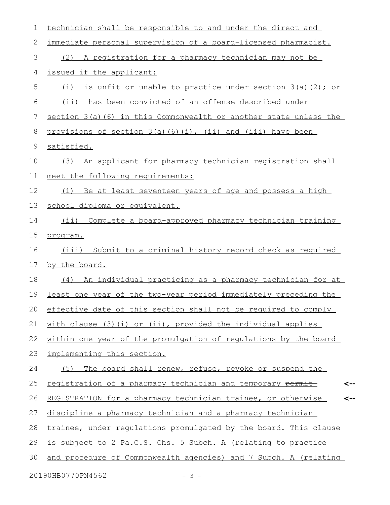| 1             | technician shall be responsible to and under the direct and        |
|---------------|--------------------------------------------------------------------|
| 2             | immediate personal supervision of a board-licensed pharmacist.     |
| 3             | (2) A registration for a pharmacy technician may not be            |
| 4             | issued if the applicant:                                           |
| 5             | is unfit or unable to practice under section 3(a)(2); or<br>(i)    |
| 6             | (ii) has been convicted of an offense described under              |
| 7             | section 3(a)(6) in this Commonwealth or another state unless the   |
| 8             | provisions of section 3(a)(6)(i), (ii) and (iii) have been         |
| $\mathcal{G}$ | satisfied.                                                         |
| 10            | An applicant for pharmacy technician registration shall<br>(3)     |
| 11            | meet the following requirements:                                   |
| 12            | Be at least seventeen years of age and possess a high<br>(i)       |
| 13            | school diploma or equivalent.                                      |
| 14            | $(i$ ii)<br>Complete a board-approved pharmacy technician training |
| 15            | program.                                                           |
| 16            | Submit to a criminal history record check as required<br>(iii)     |
| 17            | by the board.                                                      |
| 18            | (4) An individual practicing as a pharmacy technician for at       |
| 19            | least one year of the two-year period immediately preceding the    |
| 20            | effective date of this section shall not be required to comply     |
| 21            | with clause (3) (i) or (ii), provided the individual applies       |
| 22            | within one year of the promulgation of regulations by the board    |
| 23            | implementing this section.                                         |
| 24            | (5)<br>The board shall renew, refuse, revoke or suspend the        |
| 25            | registration of a pharmacy technician and temporary permit         |
| 26            | REGISTRATION for a pharmacy technician trainee, or otherwise       |
| 27            | discipline a pharmacy technician and a pharmacy technician         |
| 28            | trainee, under regulations promulgated by the board. This clause   |
| 29            | is subject to 2 Pa.C.S. Chs. 5 Subch. A (relating to practice      |
| 30            | and procedure of Commonwealth agencies) and 7 Subch. A (relating   |
|               | 20190HB0770PN4562<br>$-3 -$                                        |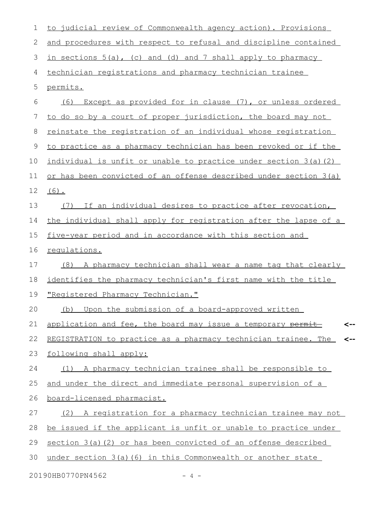| $\mathbf 1$ | to judicial review of Commonwealth agency action). Provisions         |
|-------------|-----------------------------------------------------------------------|
| 2           | and procedures with respect to refusal and discipline contained       |
| 3           | in sections 5(a), (c) and (d) and 7 shall apply to pharmacy           |
| 4           | technician registrations and pharmacy technician trainee              |
| 5           | permits.                                                              |
| 6           | Except as provided for in clause (7), or unless ordered<br>(6)        |
| 7           | to do so by a court of proper jurisdiction, the board may not         |
| 8           | reinstate the registration of an individual whose registration        |
| 9           | to practice as a pharmacy technician has been revoked or if the       |
| 10          | individual is unfit or unable to practice under section 3(a)(2)       |
| 11          | or has been convicted of an offense described under section 3(a)      |
| 12          | $(6)$ .                                                               |
| 13          | If an individual desires to practice after revocation,<br>(7)         |
| 14          | the individual shall apply for registration after the lapse of a      |
| 15          | five-year period and in accordance with this section and              |
| 16          | requlations.                                                          |
| 17          | A pharmacy technician shall wear a name tag that clearly<br>(8)       |
| 18          | identifies the pharmacy technician's first name with the title        |
| 19          | "Registered Pharmacy Technician."                                     |
| 20          | Upon the submission of a board-approved written<br>(b)                |
| 21          | application and fee, the board may issue a temporary permit-          |
| 22          | REGISTRATION to practice as a pharmacy technician trainee. The<br><-- |
| 23          | following shall apply:                                                |
| 24          | (1) A pharmacy technician trainee shall be responsible to             |
| 25          | and under the direct and immediate personal supervision of a          |
| 26          | board-licensed pharmacist.                                            |
| 27          | (2) A registration for a pharmacy technician trainee may not          |
| 28          | be issued if the applicant is unfit or unable to practice under       |
| 29          | section 3(a)(2) or has been convicted of an offense described         |
| 30          | under section $3(a)$ (6) in this Commonwealth or another state        |
|             | 20190HB0770PN4562<br>4 –                                              |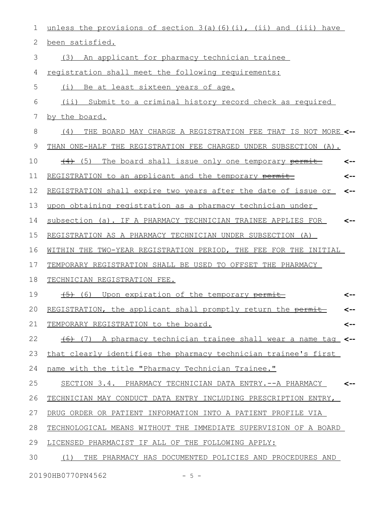| 1  | unless the provisions of section 3(a)(6)(i), (ii) and (iii) have        |     |
|----|-------------------------------------------------------------------------|-----|
| 2  | been satisfied.                                                         |     |
| 3  | An applicant for pharmacy technician trainee<br>(3)                     |     |
| 4  | registration shall meet the following requirements:                     |     |
| 5  | Be at least sixteen years of age.<br>(i)                                |     |
| 6  | (ii) Submit to a criminal history record check as required              |     |
| 7  | by the board.                                                           |     |
| 8  | THE BOARD MAY CHARGE A REGISTRATION FEE THAT IS NOT MORE <--<br>(4)     |     |
| 9  | THAN ONE-HALF THE REGISTRATION FEE CHARGED UNDER SUBSECTION (A).        |     |
| 10 | (5) The board shall issue only one temporary permit                     |     |
| 11 | REGISTRATION to an applicant and the temporary permit-                  | <-- |
| 12 | REGISTRATION shall expire two years after the date of issue or          | <-- |
| 13 | upon obtaining registration as a pharmacy technician under              |     |
| 14 | subsection (a). IF A PHARMACY TECHNICIAN TRAINEE APPLIES FOR            | <-- |
| 15 | REGISTRATION AS A PHARMACY TECHNICIAN UNDER SUBSECTION (A)              |     |
| 16 | WITHIN THE TWO-YEAR REGISTRATION PERIOD, THE FEE FOR THE INITIAL        |     |
| 17 | TEMPORARY REGISTRATION SHALL BE USED TO OFFSET THE PHARMACY             |     |
| 18 | TECHNICIAN REGISTRATION FEE.                                            |     |
| 19 | (5) (6) Upon expiration of the temporary permit                         |     |
| 20 | REGISTRATION, the applicant shall promptly return the permit-           |     |
| 21 | TEMPORARY REGISTRATION to the board.                                    | <-- |
| 22 | $(6)$ (7) A pharmacy technician trainee shall wear a name tag $\leq$ -- |     |
| 23 | that clearly identifies the pharmacy technician trainee's first         |     |
| 24 | name with the title "Pharmacy Technician Trainee."                      |     |
| 25 | SECTION 3.4. PHARMACY TECHNICIAN DATA ENTRY.--A PHARMACY                |     |
| 26 | TECHNICIAN MAY CONDUCT DATA ENTRY INCLUDING PRESCRIPTION ENTRY,         |     |
| 27 | DRUG ORDER OR PATIENT INFORMATION INTO A PATIENT PROFILE VIA            |     |
| 28 | TECHNOLOGICAL MEANS WITHOUT THE IMMEDIATE SUPERVISION OF A BOARD        |     |
| 29 | LICENSED PHARMACIST IF ALL OF THE FOLLOWING APPLY:                      |     |
| 30 | (1)<br>THE PHARMACY HAS DOCUMENTED POLICIES AND PROCEDURES AND          |     |
|    | 20190HB0770PN4562<br>- 5 -                                              |     |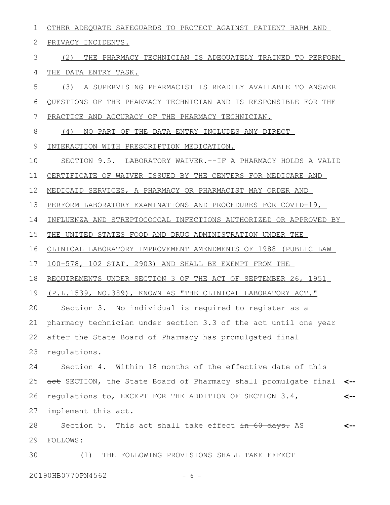OTHER ADEQUATE SAFEGUARDS TO PROTECT AGAINST PATIENT HARM AND PRIVACY INCIDENTS. (2) THE PHARMACY TECHNICIAN IS ADEQUATELY TRAINED TO PERFORM THE DATA ENTRY TASK. (3) A SUPERVISING PHARMACIST IS READILY AVAILABLE TO ANSWER QUESTIONS OF THE PHARMACY TECHNICIAN AND IS RESPONSIBLE FOR THE PRACTICE AND ACCURACY OF THE PHARMACY TECHNICIAN. (4) NO PART OF THE DATA ENTRY INCLUDES ANY DIRECT INTERACTION WITH PRESCRIPTION MEDICATION. SECTION 9.5. LABORATORY WAIVER.--IF A PHARMACY HOLDS A VALID CERTIFICATE OF WAIVER ISSUED BY THE CENTERS FOR MEDICARE AND MEDICAID SERVICES, A PHARMACY OR PHARMACIST MAY ORDER AND PERFORM LABORATORY EXAMINATIONS AND PROCEDURES FOR COVID-19, INFLUENZA AND STREPTOCOCCAL INFECTIONS AUTHORIZED OR APPROVED BY THE UNITED STATES FOOD AND DRUG ADMINISTRATION UNDER THE CLINICAL LABORATORY IMPROVEMENT AMENDMENTS OF 1988 (PUBLIC LAW 100-578, 102 STAT. 2903) AND SHALL BE EXEMPT FROM THE REQUIREMENTS UNDER SECTION 3 OF THE ACT OF SEPTEMBER 26, 1951 (P.L.1539, NO.389), KNOWN AS "THE CLINICAL LABORATORY ACT." Section 3. No individual is required to register as a pharmacy technician under section 3.3 of the act until one year after the State Board of Pharmacy has promulgated final regulations. Section 4. Within 18 months of the effective date of this act SECTION, the State Board of Pharmacy shall promulgate final **<-** regulations to, EXCEPT FOR THE ADDITION OF SECTION 3.4, implement this act. Section 5. This act shall take effect in 60 days. AS FOLLOWS: (1) THE FOLLOWING PROVISIONS SHALL TAKE EFFECT **<-- <--** 1 2 3 4 5 6 7 8 9 10 11 12 13 14 15 16 17 18 19 20 21 22 23 24 25 26 27 28 29 30

20190HB0770PN4562 - 6 -